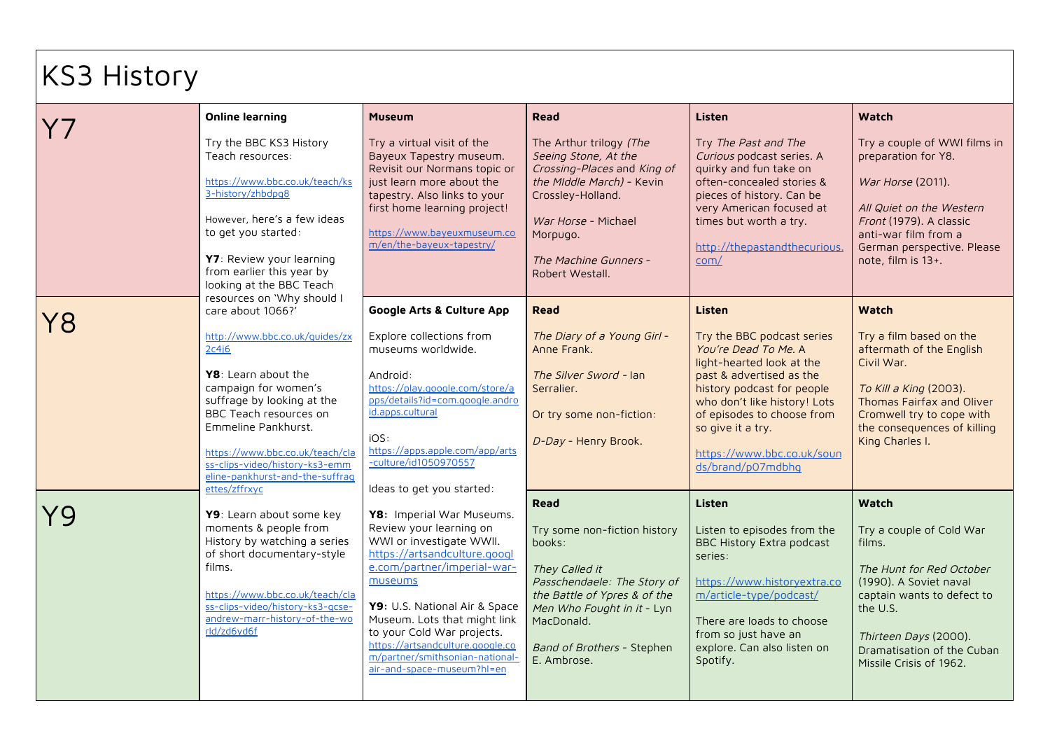## KS3 History

|    | <b>Online learning</b>                                                                                                                                                                                                                                                                                              | <b>Museum</b>                                                                                                                                                                                                                                                                                                                                                  | <b>Read</b>                                                                                                                                                                                                                     | Listen                                                                                                                                                                                                                                                                                    | Watch                                                                                                                                                                                                                         |
|----|---------------------------------------------------------------------------------------------------------------------------------------------------------------------------------------------------------------------------------------------------------------------------------------------------------------------|----------------------------------------------------------------------------------------------------------------------------------------------------------------------------------------------------------------------------------------------------------------------------------------------------------------------------------------------------------------|---------------------------------------------------------------------------------------------------------------------------------------------------------------------------------------------------------------------------------|-------------------------------------------------------------------------------------------------------------------------------------------------------------------------------------------------------------------------------------------------------------------------------------------|-------------------------------------------------------------------------------------------------------------------------------------------------------------------------------------------------------------------------------|
|    | Try the BBC KS3 History<br>Teach resources:<br>https://www.bbc.co.uk/teach/ks<br>3-history/zhbdpg8<br>However, here's a few ideas<br>to get you started:<br>Y7: Review your learning<br>from earlier this year by<br>looking at the BBC Teach<br>resources on 'Why should I                                         | Try a virtual visit of the<br>Bayeux Tapestry museum.<br>Revisit our Normans topic or<br>just learn more about the<br>tapestry. Also links to your<br>first home learning project!<br>https://www.bayeuxmuseum.co<br>m/en/the-bayeux-tapestry/                                                                                                                 | The Arthur trilogy (The<br>Seeing Stone, At the<br>Crossing-Places and King of<br>the Middle March) - Kevin<br>Crossley-Holland.<br>War Horse - Michael<br>Morpugo.<br>The Machine Gunners -<br>Robert Westall.                 | Try The Past and The<br>Curious podcast series. A<br>quirky and fun take on<br>often-concealed stories &<br>pieces of history. Can be<br>very American focused at<br>times but worth a try.<br>http://thepastandthecurious.<br>com/                                                       | Try a couple of WWI films in<br>preparation for Y8.<br>War Horse (2011).<br>All Quiet on the Western<br>Front (1979). A classic<br>anti-war film from a<br>German perspective. Please<br>note, film is 13+.                   |
| 78 | care about 1066?'<br>http://www.bbc.co.uk/quides/zx<br>2c4j6<br>Y8: Learn about the<br>campaign for women's<br>suffrage by looking at the<br>BBC Teach resources on<br>Emmeline Pankhurst.<br>https://www.bbc.co.uk/teach/cla<br>ss-clips-video/history-ks3-emm<br>eline-pankhurst-and-the-suffrag<br>ettes/zffrxyc | <b>Google Arts &amp; Culture App</b><br>Explore collections from<br>museums worldwide.<br>Android:<br>https://play.google.com/store/a<br>pps/details?id=com.google.andro<br>id.apps.cultural<br>iOS:<br>https://apps.apple.com/app/arts<br>-culture/id1050970557<br>Ideas to get you started:                                                                  | <b>Read</b><br>The Diary of a Young Girl -<br>Anne Frank.<br>The Silver Sword - Ian<br>Serralier.<br>Or try some non-fiction:<br>D-Day - Henry Brook.                                                                           | Listen<br>Try the BBC podcast series<br>You're Dead To Me. A<br>light-hearted look at the<br>past & advertised as the<br>history podcast for people<br>who don't like history! Lots<br>of episodes to choose from<br>so give it a try.<br>https://www.bbc.co.uk/soun<br>ds/brand/p07mdbhq | <b>Watch</b><br>Try a film based on the<br>aftermath of the English<br>Civil War.<br>To Kill a King (2003).<br>Thomas Fairfax and Oliver<br>Cromwell try to cope with<br>the consequences of killing<br>King Charles I.       |
|    | Y9: Learn about some key<br>moments & people from<br>History by watching a series<br>of short documentary-style<br>films.<br>https://www.bbc.co.uk/teach/cla<br>ss-clips-video/history-ks3-gcse-<br>andrew-marr-history-of-the-wo<br>rld/zd6yd6f                                                                    | Y8: Imperial War Museums.<br>Review your learning on<br>WWI or investigate WWII.<br>https://artsandculture.googl<br>e.com/partner/imperial-war-<br>museums<br>Y9: U.S. National Air & Space<br>Museum. Lots that might link<br>to your Cold War projects.<br>https://artsandculture.google.co<br>m/partner/smithsonian-national-<br>air-and-space-museum?hl=en | <b>Read</b><br>Try some non-fiction history<br>books:<br>They Called it<br>Passchendaele: The Story of<br>the Battle of Ypres & of the<br>Men Who Fought in it - Lyn<br>MacDonald.<br>Band of Brothers - Stephen<br>E. Ambrose. | Listen<br>Listen to episodes from the<br><b>BBC History Extra podcast</b><br>series:<br>https://www.historvextra.co<br>m/article-type/podcast/<br>There are loads to choose<br>from so just have an<br>explore. Can also listen on<br>Spotify.                                            | Watch<br>Try a couple of Cold War<br>films.<br>The Hunt for Red October<br>(1990). A Soviet naval<br>captain wants to defect to<br>the U.S.<br>Thirteen Days (2000).<br>Dramatisation of the Cuban<br>Missile Crisis of 1962. |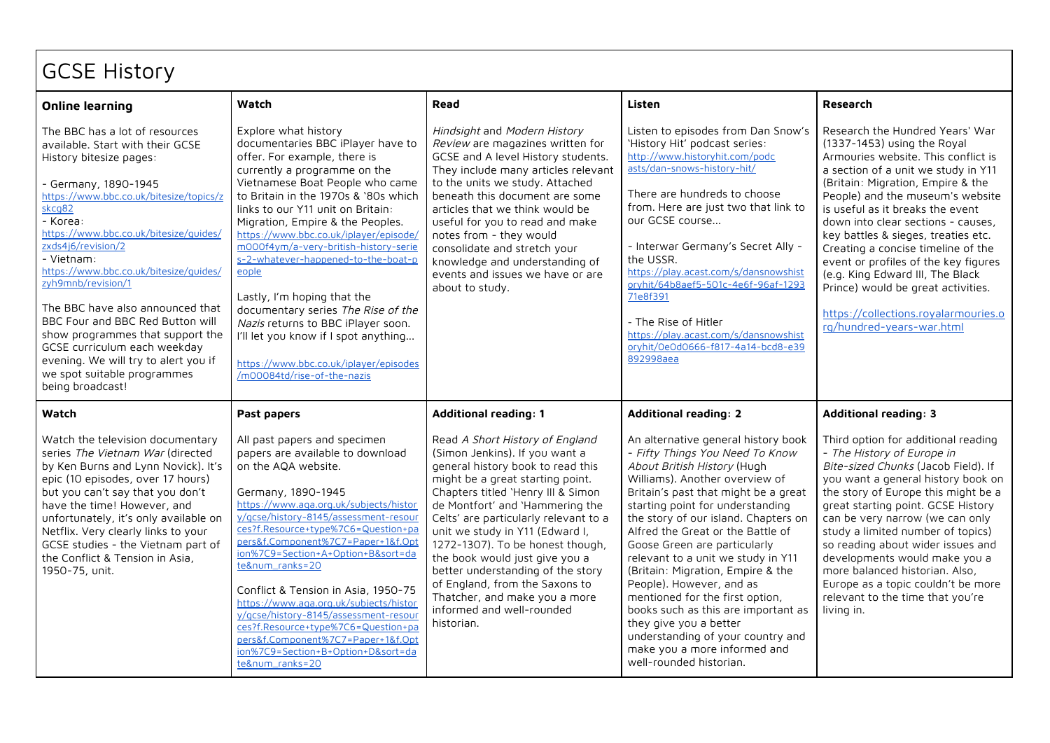## GCSE History

| <b>Online learning</b>                                                                                                                                                                                                                                                                                                                                                                                                                                                                                                                                                      | Watch                                                                                                                                                                                                                                                                                                                                                                                                                                                                                                                                                                                                                                        | Read                                                                                                                                                                                                                                                                                                                                                                                                                                                                                                                     | Listen                                                                                                                                                                                                                                                                                                                                                                                                                                                                                                                                                                                                                                      | <b>Research</b>                                                                                                                                                                                                                                                                                                                                                                                                                                                                                                                                                     |
|-----------------------------------------------------------------------------------------------------------------------------------------------------------------------------------------------------------------------------------------------------------------------------------------------------------------------------------------------------------------------------------------------------------------------------------------------------------------------------------------------------------------------------------------------------------------------------|----------------------------------------------------------------------------------------------------------------------------------------------------------------------------------------------------------------------------------------------------------------------------------------------------------------------------------------------------------------------------------------------------------------------------------------------------------------------------------------------------------------------------------------------------------------------------------------------------------------------------------------------|--------------------------------------------------------------------------------------------------------------------------------------------------------------------------------------------------------------------------------------------------------------------------------------------------------------------------------------------------------------------------------------------------------------------------------------------------------------------------------------------------------------------------|---------------------------------------------------------------------------------------------------------------------------------------------------------------------------------------------------------------------------------------------------------------------------------------------------------------------------------------------------------------------------------------------------------------------------------------------------------------------------------------------------------------------------------------------------------------------------------------------------------------------------------------------|---------------------------------------------------------------------------------------------------------------------------------------------------------------------------------------------------------------------------------------------------------------------------------------------------------------------------------------------------------------------------------------------------------------------------------------------------------------------------------------------------------------------------------------------------------------------|
| The BBC has a lot of resources<br>available. Start with their GCSE<br>History bitesize pages:<br>- Germany, 1890-1945<br>https://www.bbc.co.uk/bitesize/topics/z<br>skcq82<br>- Korea:<br>https://www.bbc.co.uk/bitesize/quides/<br>zxds4j6/revision/2<br>- Vietnam:<br>https://www.bbc.co.uk/bitesize/quides/<br>zyh9mnb/revision/1<br>The BBC have also announced that<br>BBC Four and BBC Red Button will<br>show programmes that support the<br>GCSE curriculum each weekday<br>evening. We will try to alert you if<br>we spot suitable programmes<br>being broadcast! | Explore what history<br>documentaries BBC iPlayer have to<br>offer. For example, there is<br>currently a programme on the<br>Vietnamese Boat People who came<br>to Britain in the 1970s & '80s which<br>links to our Y11 unit on Britain:<br>Migration, Empire & the Peoples.<br>https://www.bbc.co.uk/iplayer/episode/<br>m000f4ym/a-very-british-history-serie<br>s-2-whatever-happened-to-the-boat-p<br>eople<br>Lastly, I'm hoping that the<br>documentary series The Rise of the<br>Nazis returns to BBC iPlayer soon.<br>I'll let you know if I spot anything<br>https://www.bbc.co.uk/iplayer/episodes<br>/m00084td/rise-of-the-nazis | Hindsight and Modern History<br>Review are magazines written for<br>GCSE and A level History students.<br>They include many articles relevant<br>to the units we study. Attached<br>beneath this document are some<br>articles that we think would be<br>useful for you to read and make<br>notes from - they would<br>consolidate and stretch your<br>knowledge and understanding of<br>events and issues we have or are<br>about to study.                                                                             | Listen to episodes from Dan Snow's<br>'History Hit' podcast series:<br>http://www.historyhit.com/podc<br>asts/dan-snows-history-hit/<br>There are hundreds to choose<br>from. Here are just two that link to<br>our GCSE course<br>- Interwar Germany's Secret Ally -<br>the USSR.<br>https://play.acast.com/s/dansnowshist<br>oryhit/64b8aef5-501c-4e6f-96af-1293<br>71e8f391<br>- The Rise of Hitler<br>https://play.acast.com/s/dansnowshist<br>oryhit/0e0d0666-f817-4a14-bcd8-e39<br>892998aea                                                                                                                                          | Research the Hundred Years' War<br>(1337-1453) using the Royal<br>Armouries website. This conflict is<br>a section of a unit we study in Y11<br>(Britain: Migration, Empire & the<br>People) and the museum's website<br>is useful as it breaks the event<br>down into clear sections - causes,<br>key battles & sieges, treaties etc.<br>Creating a concise timeline of the<br>event or profiles of the key figures<br>(e.g. King Edward III, The Black<br>Prince) would be great activities.<br>https://collections.royalarmouries.o<br>rg/hundred-years-war.html |
| Watch                                                                                                                                                                                                                                                                                                                                                                                                                                                                                                                                                                       | Past papers                                                                                                                                                                                                                                                                                                                                                                                                                                                                                                                                                                                                                                  | <b>Additional reading: 1</b>                                                                                                                                                                                                                                                                                                                                                                                                                                                                                             | <b>Additional reading: 2</b>                                                                                                                                                                                                                                                                                                                                                                                                                                                                                                                                                                                                                | <b>Additional reading: 3</b>                                                                                                                                                                                                                                                                                                                                                                                                                                                                                                                                        |
| Watch the television documentary<br>series The Vietnam War (directed<br>by Ken Burns and Lynn Novick). It's<br>epic (10 episodes, over 17 hours)<br>but you can't say that you don't<br>have the time! However, and<br>unfortunately, it's only available on<br>Netflix. Very clearly links to your<br>GCSE studies - the Vietnam part of<br>the Conflict & Tension in Asia,<br>1950-75, unit.                                                                                                                                                                              | All past papers and specimen<br>papers are available to download<br>on the AQA website.<br>Germany, 1890-1945<br>https://www.aqa.org.uk/subjects/histor<br>y/gcse/history-8145/assessment-resour<br>ces?f.Resource+type%7C6=Question+pa<br>pers&f.Component%7C7=Paper+1&f.Opt<br>ion%7C9=Section+A+Option+B&sort=da<br>te#_ranks=20<br>Conflict & Tension in Asia, 1950-75<br>https://www.aga.org.uk/subjects/histor<br>y/gcse/history-8145/assessment-resour<br>ces?f.Resource+type%7C6=Question+pa<br>pers&f.Component%7C7=Paper+1&f.Opt<br>ion%7C9=Section+B+Option+D&sort=da<br>te#_ranks=20                                             | Read A Short History of England<br>(Simon Jenkins). If you want a<br>general history book to read this<br>might be a great starting point.<br>Chapters titled 'Henry III & Simon<br>de Montfort' and 'Hammering the<br>Celts' are particularly relevant to a<br>unit we study in Y11 (Edward I,<br>1272-1307). To be honest though,<br>the book would just give you a<br>better understanding of the story<br>of England, from the Saxons to<br>Thatcher, and make you a more<br>informed and well-rounded<br>historian. | An alternative general history book<br>- Fifty Things You Need To Know<br>About British History (Hugh<br>Williams). Another overview of<br>Britain's past that might be a great<br>starting point for understanding<br>the story of our island. Chapters on<br>Alfred the Great or the Battle of<br>Goose Green are particularly<br>relevant to a unit we study in Y11<br>(Britain: Migration, Empire & the<br>People). However, and as<br>mentioned for the first option,<br>books such as this are important as<br>they give you a better<br>understanding of your country and<br>make you a more informed and<br>well-rounded historian. | Third option for additional reading<br>- The History of Europe in<br>Bite-sized Chunks (Jacob Field). If<br>you want a general history book on<br>the story of Europe this might be a<br>great starting point. GCSE History<br>can be very narrow (we can only<br>study a limited number of topics)<br>so reading about wider issues and<br>developments would make you a<br>more balanced historian. Also,<br>Europe as a topic couldn't be more<br>relevant to the time that you're<br>living in.                                                                 |